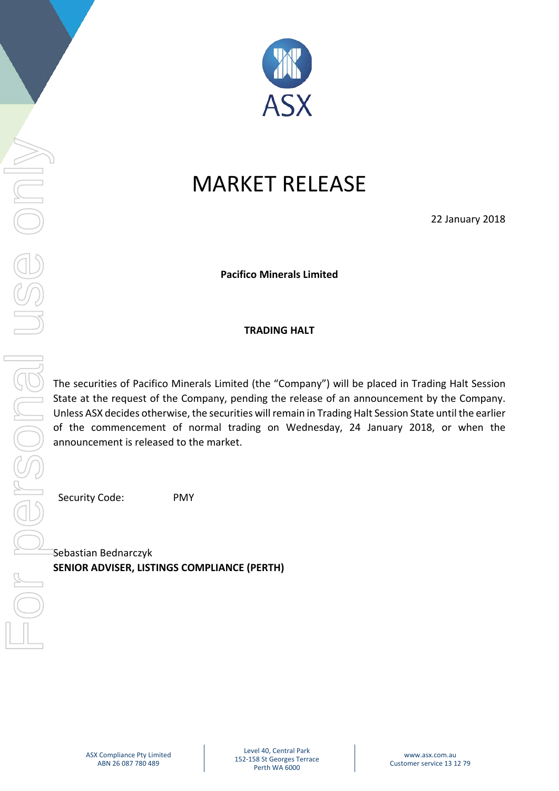

# MARKET RELEASE

22 January 2018

**Pacifico Minerals Limited**

## **TRADING HALT**

The securities of Pacifico Minerals Limited (the "Company") will be placed in Trading Halt Session State at the request of the Company, pending the release of an announcement by the Company. Unless ASX decides otherwise, the securities will remain in Trading Halt Session State until the earlier of the commencement of normal trading on Wednesday, 24 January 2018, or when the announcement is released to the market.

Security Code: PMY

Sebastian Bednarczyk